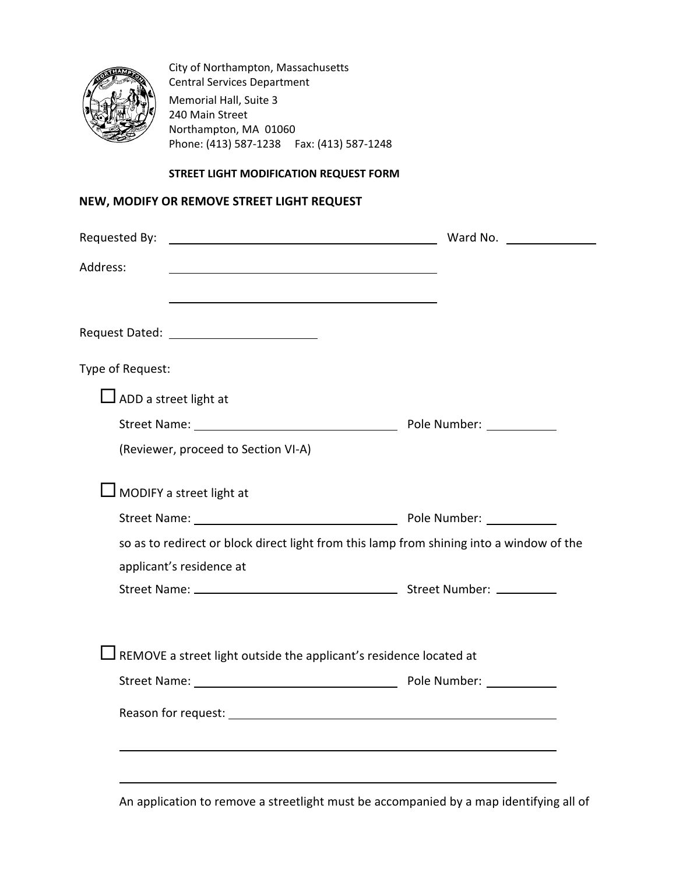

City of Northampton, Massachusetts Central Services Department Memorial Hall, Suite 3 240 Main Street Northampton, MA 01060 Phone: (413) 587-1238 Fax: (413) 587-1248

### **STREET LIGHT MODIFICATION REQUEST FORM**

# **NEW, MODIFY OR REMOVE STREET LIGHT REQUEST**

| Requested By: Note and Society and Society and Society and Note and Society and Note and Society and Note and S      |  |
|----------------------------------------------------------------------------------------------------------------------|--|
| Address:                                                                                                             |  |
| Request Dated: ____________________________                                                                          |  |
| Type of Request:                                                                                                     |  |
| $\Box$ ADD a street light at                                                                                         |  |
|                                                                                                                      |  |
| (Reviewer, proceed to Section VI-A)                                                                                  |  |
| $\Box$ MODIFY a street light at                                                                                      |  |
|                                                                                                                      |  |
| so as to redirect or block direct light from this lamp from shining into a window of the<br>applicant's residence at |  |
|                                                                                                                      |  |
| $\Box$ REMOVE a street light outside the applicant's residence located at                                            |  |
|                                                                                                                      |  |
|                                                                                                                      |  |
|                                                                                                                      |  |
|                                                                                                                      |  |

An application to remove a streetlight must be accompanied by a map identifying all of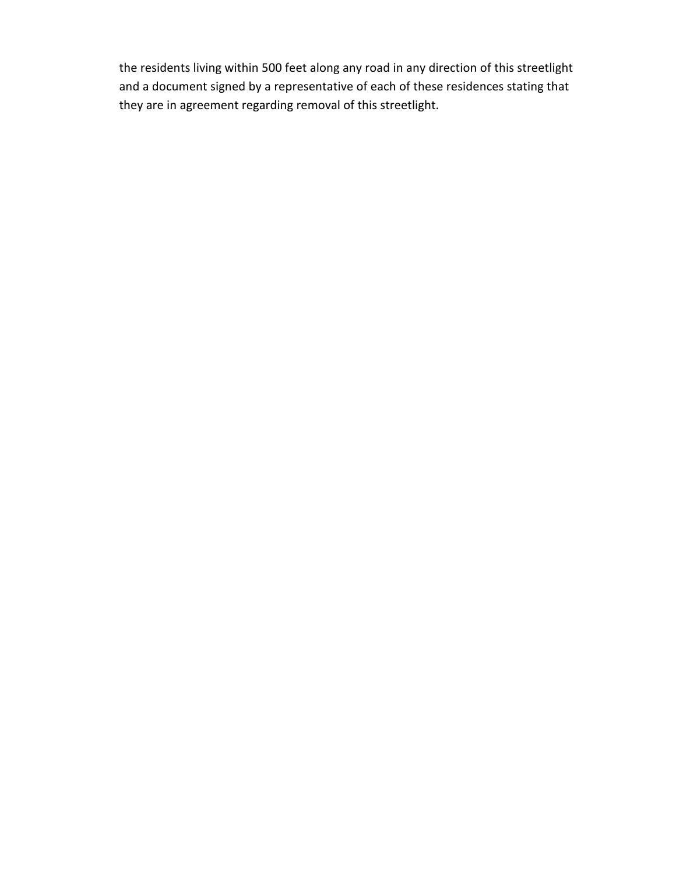the residents living within 500 feet along any road in any direction of this streetlight and a document signed by a representative of each of these residences stating that they are in agreement regarding removal of this streetlight.